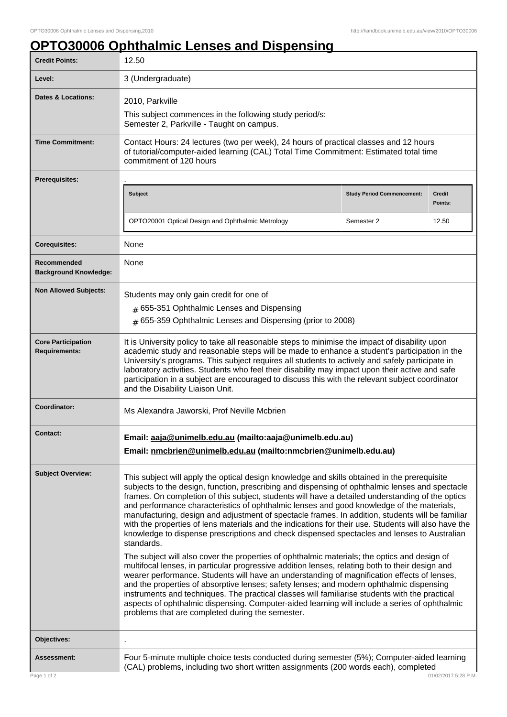ı

## **OPTO30006 Ophthalmic Lenses and Dispensing**

| <b>Credit Points:</b>                             | 12.50                                                                                                                                                                                                                                                                                                                                                                                                                                                                                                                                                                                                                                                                                                                                                                                                                                                                                                                                                                                                                       |                                   |                          |
|---------------------------------------------------|-----------------------------------------------------------------------------------------------------------------------------------------------------------------------------------------------------------------------------------------------------------------------------------------------------------------------------------------------------------------------------------------------------------------------------------------------------------------------------------------------------------------------------------------------------------------------------------------------------------------------------------------------------------------------------------------------------------------------------------------------------------------------------------------------------------------------------------------------------------------------------------------------------------------------------------------------------------------------------------------------------------------------------|-----------------------------------|--------------------------|
| Level:                                            | 3 (Undergraduate)                                                                                                                                                                                                                                                                                                                                                                                                                                                                                                                                                                                                                                                                                                                                                                                                                                                                                                                                                                                                           |                                   |                          |
| <b>Dates &amp; Locations:</b>                     | 2010, Parkville<br>This subject commences in the following study period/s:<br>Semester 2, Parkville - Taught on campus.                                                                                                                                                                                                                                                                                                                                                                                                                                                                                                                                                                                                                                                                                                                                                                                                                                                                                                     |                                   |                          |
| <b>Time Commitment:</b>                           | Contact Hours: 24 lectures (two per week), 24 hours of practical classes and 12 hours<br>of tutorial/computer-aided learning (CAL) Total Time Commitment: Estimated total time<br>commitment of 120 hours                                                                                                                                                                                                                                                                                                                                                                                                                                                                                                                                                                                                                                                                                                                                                                                                                   |                                   |                          |
| <b>Prerequisites:</b>                             |                                                                                                                                                                                                                                                                                                                                                                                                                                                                                                                                                                                                                                                                                                                                                                                                                                                                                                                                                                                                                             |                                   |                          |
|                                                   | Subject                                                                                                                                                                                                                                                                                                                                                                                                                                                                                                                                                                                                                                                                                                                                                                                                                                                                                                                                                                                                                     | <b>Study Period Commencement:</b> | <b>Credit</b><br>Points: |
|                                                   | OPTO20001 Optical Design and Ophthalmic Metrology                                                                                                                                                                                                                                                                                                                                                                                                                                                                                                                                                                                                                                                                                                                                                                                                                                                                                                                                                                           | Semester 2                        | 12.50                    |
| <b>Corequisites:</b>                              | None                                                                                                                                                                                                                                                                                                                                                                                                                                                                                                                                                                                                                                                                                                                                                                                                                                                                                                                                                                                                                        |                                   |                          |
| Recommended<br><b>Background Knowledge:</b>       | None                                                                                                                                                                                                                                                                                                                                                                                                                                                                                                                                                                                                                                                                                                                                                                                                                                                                                                                                                                                                                        |                                   |                          |
| <b>Non Allowed Subjects:</b>                      | Students may only gain credit for one of<br># 655-351 Ophthalmic Lenses and Dispensing<br># 655-359 Ophthalmic Lenses and Dispensing (prior to 2008)                                                                                                                                                                                                                                                                                                                                                                                                                                                                                                                                                                                                                                                                                                                                                                                                                                                                        |                                   |                          |
| <b>Core Participation</b><br><b>Requirements:</b> | It is University policy to take all reasonable steps to minimise the impact of disability upon<br>academic study and reasonable steps will be made to enhance a student's participation in the<br>University's programs. This subject requires all students to actively and safely participate in<br>laboratory activities. Students who feel their disability may impact upon their active and safe<br>participation in a subject are encouraged to discuss this with the relevant subject coordinator<br>and the Disability Liaison Unit.                                                                                                                                                                                                                                                                                                                                                                                                                                                                                 |                                   |                          |
| Coordinator:                                      | Ms Alexandra Jaworski, Prof Neville Mcbrien                                                                                                                                                                                                                                                                                                                                                                                                                                                                                                                                                                                                                                                                                                                                                                                                                                                                                                                                                                                 |                                   |                          |
| Contact:                                          | Email: aaja@unimelb.edu.au (mailto:aaja@unimelb.edu.au)<br>Email: nmcbrien@unimelb.edu.au (mailto:nmcbrien@unimelb.edu.au)                                                                                                                                                                                                                                                                                                                                                                                                                                                                                                                                                                                                                                                                                                                                                                                                                                                                                                  |                                   |                          |
| <b>Subject Overview:</b>                          | This subject will apply the optical design knowledge and skills obtained in the prerequisite<br>subjects to the design, function, prescribing and dispensing of ophthalmic lenses and spectacle<br>frames. On completion of this subject, students will have a detailed understanding of the optics<br>and performance characteristics of ophthalmic lenses and good knowledge of the materials,<br>manufacturing, design and adjustment of spectacle frames. In addition, students will be familiar<br>with the properties of lens materials and the indications for their use. Students will also have the<br>knowledge to dispense prescriptions and check dispensed spectacles and lenses to Australian<br>standards.<br>The subject will also cover the properties of ophthalmic materials; the optics and design of<br>multifocal lenses, in particular progressive addition lenses, relating both to their design and<br>wearer performance. Students will have an understanding of magnification effects of lenses, |                                   |                          |
|                                                   | and the properties of absorptive lenses; safety lenses; and modern ophthalmic dispensing<br>instruments and techniques. The practical classes will familiarise students with the practical<br>aspects of ophthalmic dispensing. Computer-aided learning will include a series of ophthalmic<br>problems that are completed during the semester.                                                                                                                                                                                                                                                                                                                                                                                                                                                                                                                                                                                                                                                                             |                                   |                          |
| Objectives:                                       |                                                                                                                                                                                                                                                                                                                                                                                                                                                                                                                                                                                                                                                                                                                                                                                                                                                                                                                                                                                                                             |                                   |                          |
| <b>Assessment:</b>                                | Four 5-minute multiple choice tests conducted during semester (5%); Computer-aided learning<br>(CAL) problems, including two short written assignments (200 words each), completed                                                                                                                                                                                                                                                                                                                                                                                                                                                                                                                                                                                                                                                                                                                                                                                                                                          |                                   |                          |
| Page 1 of 2                                       |                                                                                                                                                                                                                                                                                                                                                                                                                                                                                                                                                                                                                                                                                                                                                                                                                                                                                                                                                                                                                             |                                   | 01/02/2017 5:28 P.M.     |